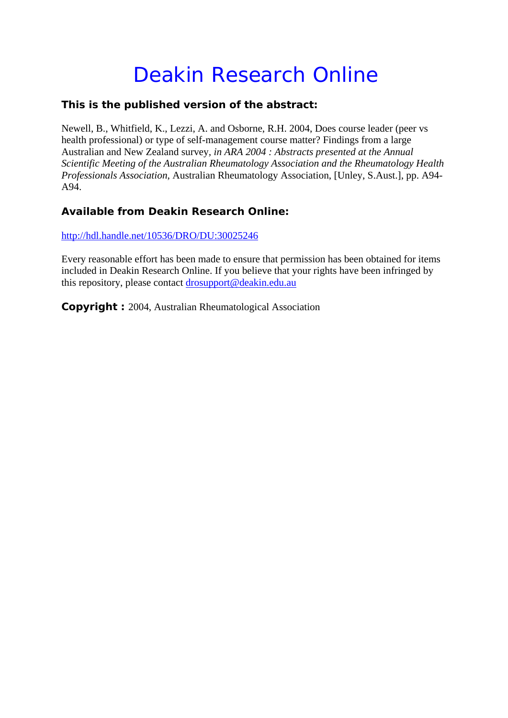## Deakin Research Online

## **This is the published version of the abstract:**

Newell, B., Whitfield, K., Lezzi, A. and Osborne, R.H. 2004, Does course leader (peer vs health professional) or type of self-management course matter? Findings from a large Australian and New Zealand survey*, in ARA 2004 : Abstracts presented at the Annual Scientific Meeting of the Australian Rheumatology Association and the Rheumatology Health Professionals Association*, Australian Rheumatology Association, [Unley, S.Aust.], pp. A94- A94.

## **Available from Deakin Research Online:**

http://hdl.handle.net/10536/DRO/DU:30025246

Every reasonable effort has been made to ensure that permission has been obtained for items included in Deakin Research Online. If you believe that your rights have been infringed by this repository, please contact drosupport@deakin.edu.au

**Copyright :** 2004, Australian Rheumatological Association